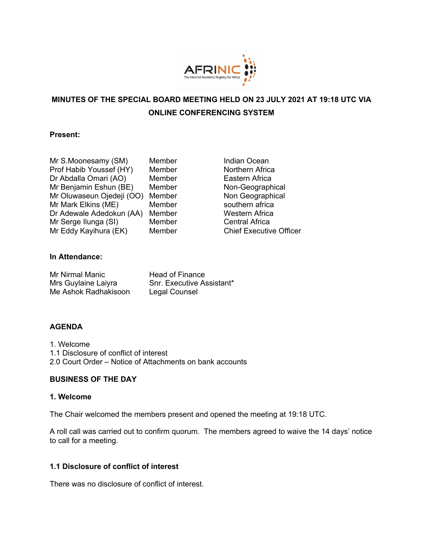

# **MINUTES OF THE SPECIAL BOARD MEETING HELD ON 23 JULY 2021 AT 19:18 UTC VIA ONLINE CONFERENCING SYSTEM**

### **Present:**

| Mr S.Moonesamy (SM)       | Me |
|---------------------------|----|
| Prof Habib Youssef (HY)   | Me |
| Dr Abdalla Omari (AO)     | Me |
| Mr Benjamin Eshun (BE)    | Me |
| Mr Oluwaseun Ojedeji (OO) | Me |
| Mr Mark Elkins (ME)       | Me |
| Dr Adewale Adedokun (AA)  | Me |
| Mr Serge Ilunga (SI)      | Me |
| Mr Eddy Kayihura (EK)     | Me |

mber Indian Ocean **Profer East (Figure 1)** Morthern Africa ember **Eastern Africa** mber Non-Geographical mber Non Geographical mber southern africa ember **Western Africa Mr Serge Ilunga Central Africa Mr Executive Officer** Chief Executive Officer

## **In Attendance:**

| Mr Nirmal Manic      | <b>Head of Finance</b>    |
|----------------------|---------------------------|
| Mrs Guylaine Laiyra  | Snr. Executive Assistant* |
| Me Ashok Radhakisoon | Legal Counsel             |

## **AGENDA**

1. Welcome 1.1 Disclosure of conflict of interest 2.0 Court Order – Notice of Attachments on bank accounts

## **BUSINESS OF THE DAY**

### **1. Welcome**

The Chair welcomed the members present and opened the meeting at 19:18 UTC.

A roll call was carried out to confirm quorum. The members agreed to waive the 14 days' notice to call for a meeting.

## **1.1 Disclosure of conflict of interest**

There was no disclosure of conflict of interest.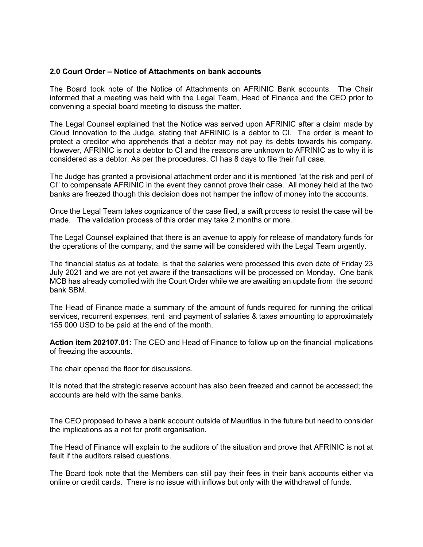#### **2.0 Court Order – Notice of Attachments on bank accounts**

The Board took note of the Notice of Attachments on AFRINIC Bank accounts. The Chair informed that a meeting was held with the Legal Team, Head of Finance and the CEO prior to convening a special board meeting to discuss the matter.

The Legal Counsel explained that the Notice was served upon AFRINIC after a claim made by Cloud Innovation to the Judge, stating that AFRINIC is a debtor to CI. The order is meant to protect a creditor who apprehends that a debtor may not pay its debts towards his company. However, AFRINIC is not a debtor to CI and the reasons are unknown to AFRINIC as to why it is considered as a debtor. As per the procedures, CI has 8 days to file their full case.

The Judge has granted a provisional attachment order and it is mentioned "at the risk and peril of CI" to compensate AFRINIC in the event they cannot prove their case. All money held at the two banks are freezed though this decision does not hamper the inflow of money into the accounts.

Once the Legal Team takes cognizance of the case filed, a swift process to resist the case will be made. The validation process of this order may take 2 months or more.

The Legal Counsel explained that there is an avenue to apply for release of mandatory funds for the operations of the company, and the same will be considered with the Legal Team urgently.

The financial status as at todate, is that the salaries were processed this even date of Friday 23 July 2021 and we are not yet aware if the transactions will be processed on Monday. One bank MCB has already complied with the Court Order while we are awaiting an update from the second bank SBM.

The Head of Finance made a summary of the amount of funds required for running the critical services, recurrent expenses, rent and payment of salaries & taxes amounting to approximately 155 000 USD to be paid at the end of the month.

**Action item 202107.01:** The CEO and Head of Finance to follow up on the financial implications of freezing the accounts.

The chair opened the floor for discussions.

It is noted that the strategic reserve account has also been freezed and cannot be accessed; the accounts are held with the same banks.

The CEO proposed to have a bank account outside of Mauritius in the future but need to consider the implications as a not for profit organisation.

The Head of Finance will explain to the auditors of the situation and prove that AFRINIC is not at fault if the auditors raised questions.

The Board took note that the Members can still pay their fees in their bank accounts either via online or credit cards. There is no issue with inflows but only with the withdrawal of funds.